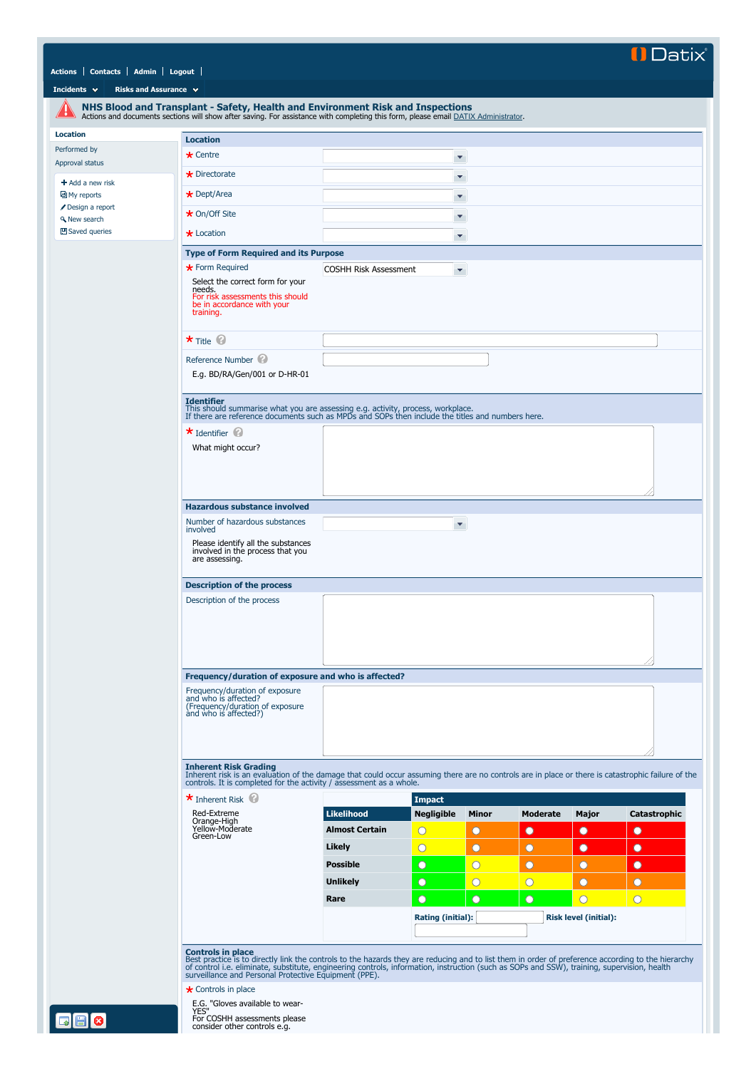## **ID**atix

## **[Actions](javascript:if(CheckChange()){SendTo() [Contacts](javascript:if(CheckChange()){SendTo() [Admin](javascript:if(CheckChange()){SendTo() [Logout](http://datixrm/datix/live/index.php?action=logout)**

**[Incidents](javascript:if(CheckChange()){SendTo()** 

<span id="page-0-0"></span>

|                               | NHS Blood and Transplant - Safety, Health and Environment Risk and Inspections<br>Actions and documents sections will show after saving. For assistance with completing this form, please email DATIX Administrator.                                                                                                                                                   |                              |                       |                       |                 |                              |                     |
|-------------------------------|------------------------------------------------------------------------------------------------------------------------------------------------------------------------------------------------------------------------------------------------------------------------------------------------------------------------------------------------------------------------|------------------------------|-----------------------|-----------------------|-----------------|------------------------------|---------------------|
| <b>Location</b>               | <b>Location</b>                                                                                                                                                                                                                                                                                                                                                        |                              |                       |                       |                 |                              |                     |
| Performed by                  | $\star$ Centre                                                                                                                                                                                                                                                                                                                                                         |                              | ×                     |                       |                 |                              |                     |
| Approval status               | $\star$ Directorate                                                                                                                                                                                                                                                                                                                                                    |                              |                       |                       |                 |                              |                     |
| $+$ Add a new risk            |                                                                                                                                                                                                                                                                                                                                                                        |                              | $\blacktriangledown$  |                       |                 |                              |                     |
| My reports<br>Design a report | $\star$ Dept/Area                                                                                                                                                                                                                                                                                                                                                      |                              | ×                     |                       |                 |                              |                     |
| <b>A</b> New search           | $\star$ On/Off Site                                                                                                                                                                                                                                                                                                                                                    |                              | ۳                     |                       |                 |                              |                     |
| 凹 Saved queries               | $\star$ Location                                                                                                                                                                                                                                                                                                                                                       |                              | ۳                     |                       |                 |                              |                     |
|                               | <b>Type of Form Required and its Purpose</b>                                                                                                                                                                                                                                                                                                                           |                              |                       |                       |                 |                              |                     |
|                               | * Form Required                                                                                                                                                                                                                                                                                                                                                        | <b>COSHH Risk Assessment</b> | ×.                    |                       |                 |                              |                     |
|                               | Select the correct form for your<br>needs.<br>For risk assessments this should<br>be in accordance with your<br>training.                                                                                                                                                                                                                                              |                              |                       |                       |                 |                              |                     |
|                               | $\star$ Title $\circledcirc$                                                                                                                                                                                                                                                                                                                                           |                              |                       |                       |                 |                              |                     |
|                               | Reference Number<br>E.g. BD/RA/Gen/001 or D-HR-01                                                                                                                                                                                                                                                                                                                      |                              |                       |                       |                 |                              |                     |
|                               | <b>Identifier</b><br>This should summarise what you are assessing e.g. activity, process, workplace.<br>If there are reference documents such as MPDs and SOPs then include the titles and numbers here.                                                                                                                                                               |                              |                       |                       |                 |                              |                     |
|                               | $\star$ Identifier<br>What might occur?                                                                                                                                                                                                                                                                                                                                |                              |                       |                       |                 |                              |                     |
|                               |                                                                                                                                                                                                                                                                                                                                                                        |                              |                       |                       |                 |                              |                     |
|                               | <b>Hazardous substance involved</b><br>Number of hazardous substances                                                                                                                                                                                                                                                                                                  |                              |                       |                       |                 |                              |                     |
|                               | involved<br>Please identify all the substances<br>involved in the process that you<br>are assessing.                                                                                                                                                                                                                                                                   |                              | ×                     |                       |                 |                              |                     |
|                               | <b>Description of the process</b>                                                                                                                                                                                                                                                                                                                                      |                              |                       |                       |                 |                              |                     |
|                               | Description of the process                                                                                                                                                                                                                                                                                                                                             |                              |                       |                       |                 |                              |                     |
|                               | Frequency/duration of exposure and who is affected?                                                                                                                                                                                                                                                                                                                    |                              |                       |                       |                 |                              |                     |
|                               | Frequency/duration of exposure                                                                                                                                                                                                                                                                                                                                         |                              |                       |                       |                 |                              |                     |
|                               | and who is affected?<br>(Frequency/duration of exposure<br>and who is affected?)                                                                                                                                                                                                                                                                                       |                              |                       |                       |                 |                              |                     |
|                               | <b>Inherent Risk Grading</b><br>Inherent risk is an evaluation of the damage that could occur assuming there are no controls are in place or there is catastrophic failure of the<br>controls. It is completed for the activity / assessment as a whole.<br>$\star$ Inherent Risk                                                                                      |                              | <b>Impact</b>         |                       |                 |                              |                     |
|                               | Red-Extreme                                                                                                                                                                                                                                                                                                                                                            | <b>Likelihood</b>            | <b>Negligible</b>     | <b>Minor</b>          | <b>Moderate</b> | Major                        | <b>Catastrophic</b> |
|                               | Orange-High<br>Yellow-Moderate                                                                                                                                                                                                                                                                                                                                         | <b>Almost Certain</b>        | $\bigcirc$            | O                     | $\bullet$       | $\bullet$                    | $\bullet$           |
|                               | Green-Low                                                                                                                                                                                                                                                                                                                                                              | Likely                       | $\overline{\bigcirc}$ | $\bullet$             | $\circ$         | $\bullet$                    | $\bullet$           |
|                               |                                                                                                                                                                                                                                                                                                                                                                        | <b>Possible</b>              | $\circ$               | $\overline{\bigcirc}$ | $\circ$         | O                            | $\bullet$           |
|                               |                                                                                                                                                                                                                                                                                                                                                                        | <b>Unlikely</b>              | $\circ$               | $\overline{\bigcirc}$ | $\bigcirc$      | $\circ$                      | $\circ$             |
|                               |                                                                                                                                                                                                                                                                                                                                                                        | Rare                         | $\circ$               | $\circ$               | $\circ$         | $\bigcirc$                   | $\bigcirc$          |
|                               |                                                                                                                                                                                                                                                                                                                                                                        |                              | Rating (initial):     |                       |                 | <b>Risk level (initial):</b> |                     |
|                               | <b>Controls in place</b><br>Best practice is to directly link the controls to the hazards they are reducing and to list them in order of preference according to the hierarchy<br>of control i.e. eliminate, substitute, engineering controls, information, i<br><b>★</b> Controls in place<br>E.G. "Gloves available to wear-<br>YES"<br>For COSHH assessments please |                              |                       |                       |                 |                              |                     |
| ø                             | consider other controls e.g.                                                                                                                                                                                                                                                                                                                                           |                              |                       |                       |                 |                              |                     |